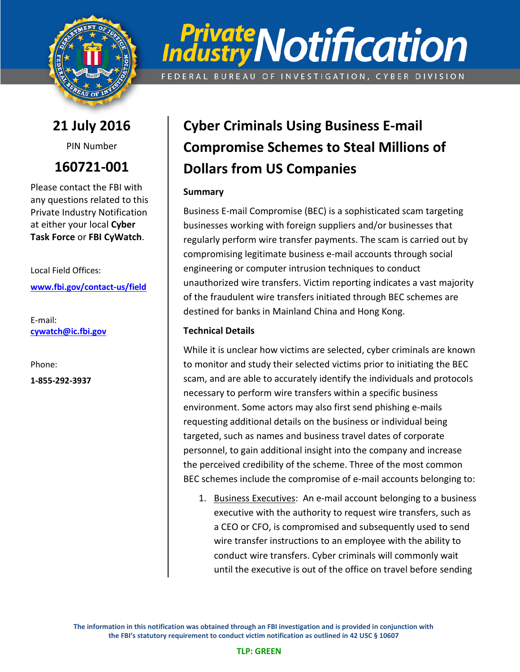

# **Private Notification** FEDERAL BUREAU OF INVESTIGATION, CYBER DIVISION

**21 July 2016**

PIN Number

**160721-001**

Please contact the FBI with any questions related to this Private Industry Notification at either your local **Cyber Task Force** or **FBI CyWatch**.

Local Field Offices: **[www.fbi.gov/contact-us/field](http://www.fbi.gov/contact-us/field)**

E-mail: **[cywatch@ic.fbi.gov](mailto:cywatch@ic.fbi.gov?subject=Cyber%20Flash%20Alert%20Question)**

Phone:

**1-855-292-3937**

## **Cyber Criminals Using Business E-mail Compromise Schemes to Steal Millions of Dollars from US Companies**

#### **Summary**

Business E-mail Compromise (BEC) is a sophisticated scam targeting businesses working with foreign suppliers and/or businesses that regularly perform wire transfer payments. The scam is carried out by compromising legitimate business e-mail accounts through social engineering or computer intrusion techniques to conduct unauthorized wire transfers. Victim reporting indicates a vast majority of the fraudulent wire transfers initiated through BEC schemes are destined for banks in Mainland China and Hong Kong.

#### **Technical Details**

While it is unclear how victims are selected, cyber criminals are known to monitor and study their selected victims prior to initiating the BEC scam, and are able to accurately identify the individuals and protocols necessary to perform wire transfers within a specific business environment. Some actors may also first send phishing e-mails requesting additional details on the business or individual being targeted, such as names and business travel dates of corporate personnel, to gain additional insight into the company and increase the perceived credibility of the scheme. Three of the most common BEC schemes include the compromise of e-mail accounts belonging to:

1. Business Executives: An e-mail account belonging to a business executive with the authority to request wire transfers, such as a CEO or CFO, is compromised and subsequently used to send wire transfer instructions to an employee with the ability to conduct wire transfers. Cyber criminals will commonly wait until the executive is out of the office on travel before sending

**The information in this notification was obtained through an FBI investigation and is provided in conjunction with the FBI's statutory requirement to conduct victim notification as outlined in 42 USC § 10607**

#### **TLP: GREEN**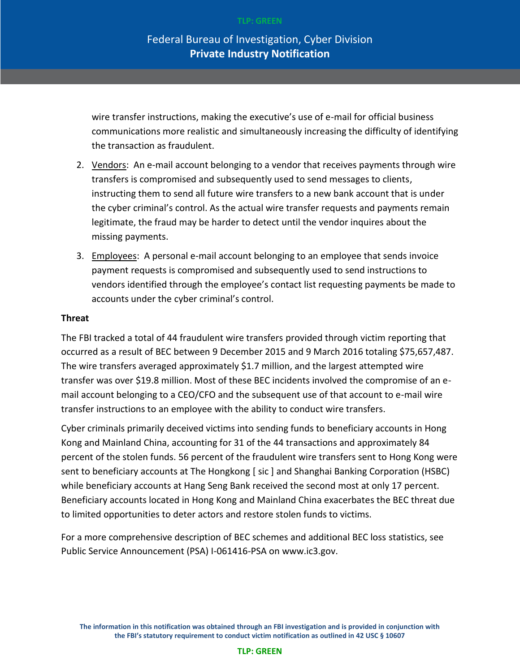wire transfer instructions, making the executive's use of e-mail for official business communications more realistic and simultaneously increasing the difficulty of identifying the transaction as fraudulent.

- 2. Vendors: An e-mail account belonging to a vendor that receives payments through wire transfers is compromised and subsequently used to send messages to clients, instructing them to send all future wire transfers to a new bank account that is under the cyber criminal's control. As the actual wire transfer requests and payments remain legitimate, the fraud may be harder to detect until the vendor inquires about the missing payments.
- 3. Employees: A personal e-mail account belonging to an employee that sends invoice payment requests is compromised and subsequently used to send instructions to vendors identified through the employee's contact list requesting payments be made to accounts under the cyber criminal's control.

#### **Threat**

The FBI tracked a total of 44 fraudulent wire transfers provided through victim reporting that occurred as a result of BEC between 9 December 2015 and 9 March 2016 totaling \$75,657,487. The wire transfers averaged approximately \$1.7 million, and the largest attempted wire transfer was over \$19.8 million. Most of these BEC incidents involved the compromise of an email account belonging to a CEO/CFO and the subsequent use of that account to e-mail wire transfer instructions to an employee with the ability to conduct wire transfers.

Cyber criminals primarily deceived victims into sending funds to beneficiary accounts in Hong Kong and Mainland China, accounting for 31 of the 44 transactions and approximately 84 percent of the stolen funds. 56 percent of the fraudulent wire transfers sent to Hong Kong were sent to beneficiary accounts at The Hongkong [ sic ] and Shanghai Banking Corporation (HSBC) while beneficiary accounts at Hang Seng Bank received the second most at only 17 percent. Beneficiary accounts located in Hong Kong and Mainland China exacerbates the BEC threat due to limited opportunities to deter actors and restore stolen funds to victims.

For a more comprehensive description of BEC schemes and additional BEC loss statistics, see Public Service Announcement (PSA) I-061416-PSA on www.ic3.gov.

**The information in this notification was obtained through an FBI investigation and is provided in conjunction with the FBI's statutory requirement to conduct victim notification as outlined in 42 USC § 10607**

#### **TLP: GREEN**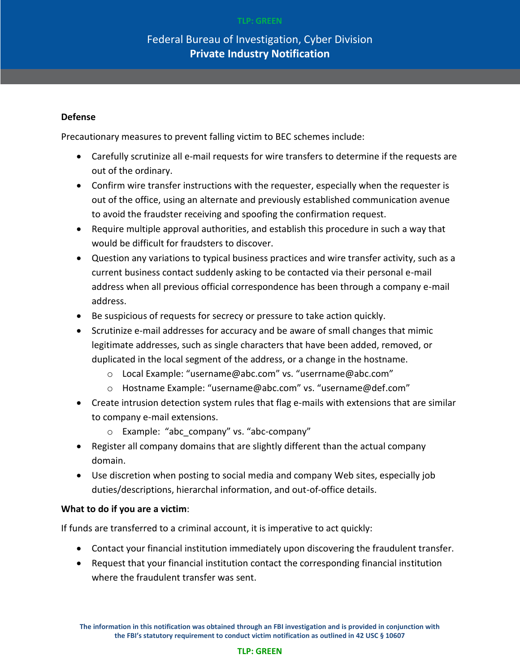#### Federal Bureau of Investigation, Cyber Division **Private Industry Notification**

#### **Defense**

Precautionary measures to prevent falling victim to BEC schemes include:

- Carefully scrutinize all e-mail requests for wire transfers to determine if the requests are out of the ordinary.
- Confirm wire transfer instructions with the requester, especially when the requester is out of the office, using an alternate and previously established communication avenue to avoid the fraudster receiving and spoofing the confirmation request.
- Require multiple approval authorities, and establish this procedure in such a way that would be difficult for fraudsters to discover.
- Question any variations to typical business practices and wire transfer activity, such as a current business contact suddenly asking to be contacted via their personal e-mail address when all previous official correspondence has been through a company e-mail address.
- Be suspicious of requests for secrecy or pressure to take action quickly.
- Scrutinize e-mail addresses for accuracy and be aware of small changes that mimic legitimate addresses, such as single characters that have been added, removed, or duplicated in the local segment of the address, or a change in the hostname.
	- o Local Example: "username@abc.com" vs. "userrname@abc.com"
	- o Hostname Example: "username@abc.com" vs. "username@def.com"
- Create intrusion detection system rules that flag e-mails with extensions that are similar to company e-mail extensions.
	- o Example: "abc\_company" vs. "abc-company"
- Register all company domains that are slightly different than the actual company domain.
- Use discretion when posting to social media and company Web sites, especially job duties/descriptions, hierarchal information, and out-of-office details.

#### **What to do if you are a victim**:

If funds are transferred to a criminal account, it is imperative to act quickly:

- Contact your financial institution immediately upon discovering the fraudulent transfer.
- Request that your financial institution contact the corresponding financial institution where the fraudulent transfer was sent.

**The information in this notification was obtained through an FBI investigation and is provided in conjunction with the FBI's statutory requirement to conduct victim notification as outlined in 42 USC § 10607**

#### **TLP: GREEN**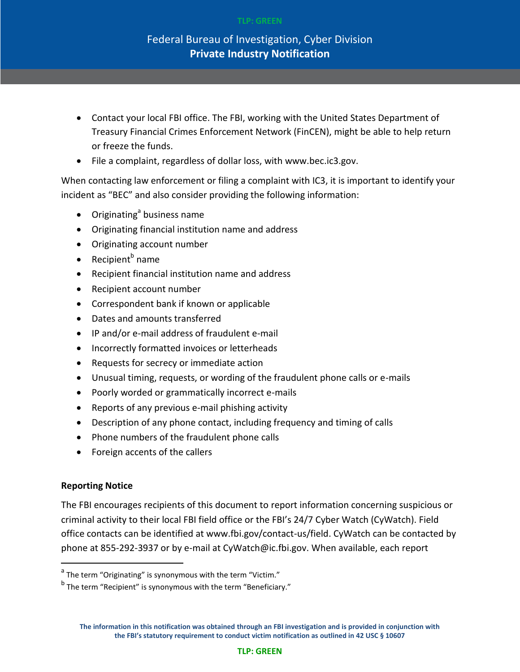#### **TLP: GREEN**

#### Federal Bureau of Investigation, Cyber Division **Private Industry Notification**

- Contact your local FBI office. The FBI, working with the United States Department of Treasury Financial Crimes Enforcement Network (FinCEN), might be able to help return or freeze the funds.
- File a complaint, regardless of dollar loss, with www.bec.ic3.gov.

When contacting law enforcement or filing a complaint with IC3, it is important to identify your incident as "BEC" and also consider providing the following information:

- Originating<sup>a</sup> business name
- Originating financial institution name and address
- Originating account number
- Recipient<sup>b</sup> name
- Recipient financial institution name and address
- Recipient account number
- Correspondent bank if known or applicable
- Dates and amounts transferred
- IP and/or e-mail address of fraudulent e-mail
- Incorrectly formatted invoices or letterheads
- Requests for secrecy or immediate action
- Unusual timing, requests, or wording of the fraudulent phone calls or e-mails
- Poorly worded or grammatically incorrect e-mails
- Reports of any previous e-mail phishing activity
- Description of any phone contact, including frequency and timing of calls
- Phone numbers of the fraudulent phone calls
- Foreign accents of the callers

#### **Reporting Notice**

 $\overline{\phantom{a}}$ 

The FBI encourages recipients of this document to report information concerning suspicious or criminal activity to their local FBI field office or the FBI's 24/7 Cyber Watch (CyWatch). Field office contacts can be identified at www.fbi.gov/contact-us/field. CyWatch can be contacted by phone at 855-292-3937 or by e-mail at CyWatch@ic.fbi.gov. When available, each report

<sup>&</sup>lt;sup>a</sup> The term "Originating" is synonymous with the term "Victim."

<sup>&</sup>lt;sup>b</sup> The term "Recipient" is synonymous with the term "Beneficiary."

**The information in this notification was obtained through an FBI investigation and is provided in conjunction with the FBI's statutory requirement to conduct victim notification as outlined in 42 USC § 10607**